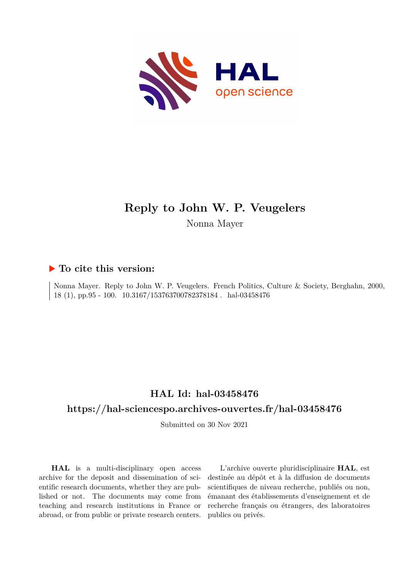

# **Reply to John W. P. Veugelers**

Nonna Mayer

### **To cite this version:**

Nonna Mayer. Reply to John W. P. Veugelers. French Politics, Culture & Society, Berghahn, 2000, 18 (1), pp.95 - 100.  $10.3167/153763700782378184$ . hal-03458476

## **HAL Id: hal-03458476**

#### **<https://hal-sciencespo.archives-ouvertes.fr/hal-03458476>**

Submitted on 30 Nov 2021

**HAL** is a multi-disciplinary open access archive for the deposit and dissemination of scientific research documents, whether they are published or not. The documents may come from teaching and research institutions in France or abroad, or from public or private research centers.

L'archive ouverte pluridisciplinaire **HAL**, est destinée au dépôt et à la diffusion de documents scientifiques de niveau recherche, publiés ou non, émanant des établissements d'enseignement et de recherche français ou étrangers, des laboratoires publics ou privés.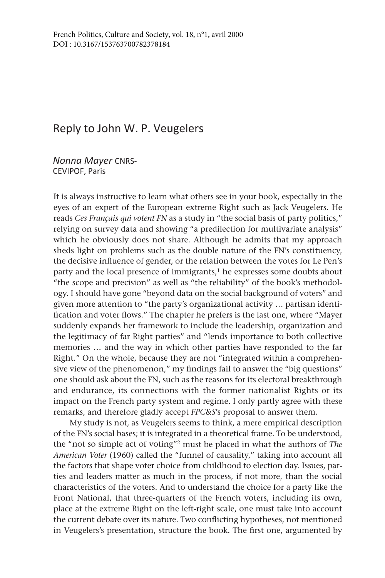#### Reply to John W. P. Veugelers

*Nonna Mayer* CNRS-CEVIPOF, Paris

It is always instructive to learn what others see in your book, especially in the eyes of an expert of the European extreme Right such as Jack Veugelers. He reads *Ces Français qui votent FN* as a study in "the social basis of party politics," relying on survey data and showing "a predilection for multivariate analysis" which he obviously does not share. Although he admits that my approach sheds light on problems such as the double nature of the FN's constituency, the decisive influence of gender, or the relation between the votes for Le Pen's party and the local presence of immigrants, $<sup>1</sup>$  he expresses some doubts about</sup> "the scope and precision" as well as "the reliability" of the book's methodology. I should have gone "beyond data on the social background of voters" and given more attention to "the party's organizational activity … partisan identification and voter flows." The chapter he prefers is the last one, where "Mayer suddenly expands her framework to include the leadership, organization and the legitimacy of far Right parties" and "lends importance to both collective memories … and the way in which other parties have responded to the far Right." On the whole, because they are not "integrated within a comprehensive view of the phenomenon," my findings fail to answer the "big questions" one should ask about the FN, such as the reasons for its electoral breakthrough and endurance, its connections with the former nationalist Rights or its impact on the French party system and regime. I only partly agree with these remarks, and therefore gladly accept *FPC&S*'s proposal to answer them.

My study is not, as Veugelers seems to think, a mere empirical description of the FN's social bases; it is integrated in a theoretical frame. To be understood, the "not so simple act of voting"2 must be placed in what the authors of *The American Voter* (1960) called the "funnel of causality," taking into account all the factors that shape voter choice from childhood to election day. Issues, parties and leaders matter as much in the process, if not more, than the social characteristics of the voters. And to understand the choice for a party like the Front National, that three-quarters of the French voters, including its own, place at the extreme Right on the left-right scale, one must take into account the current debate over its nature. Two conflicting hypotheses, not mentioned in Veugelers's presentation, structure the book. The first one, argumented by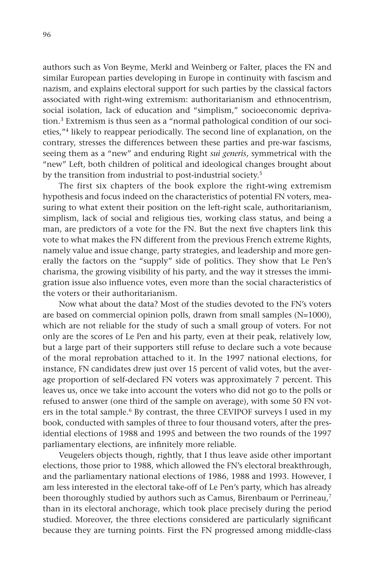authors such as Von Beyme, Merkl and Weinberg or Falter, places the FN and similar European parties developing in Europe in continuity with fascism and nazism, and explains electoral support for such parties by the classical factors associated with right-wing extremism: authoritarianism and ethnocentrism, social isolation, lack of education and "simplism," socioeconomic deprivation.3 Extremism is thus seen as a "normal pathological condition of our societies,"4 likely to reappear periodically. The second line of explanation, on the contrary, stresses the differences between these parties and pre-war fascisms, seeing them as a "new" and enduring Right *sui generis*, symmetrical with the "new" Left, both children of political and ideological changes brought about by the transition from industrial to post-industrial society.<sup>5</sup>

The first six chapters of the book explore the right-wing extremism hypothesis and focus indeed on the characteristics of potential FN voters, measuring to what extent their position on the left-right scale, authoritarianism, simplism, lack of social and religious ties, working class status, and being a man, are predictors of a vote for the FN. But the next five chapters link this vote to what makes the FN different from the previous French extreme Rights, namely value and issue change, party strategies, and leadership and more generally the factors on the "supply" side of politics. They show that Le Pen's charisma, the growing visibility of his party, and the way it stresses the immigration issue also influence votes, even more than the social characteristics of the voters or their authoritarianism.

Now what about the data? Most of the studies devoted to the FN's voters are based on commercial opinion polls, drawn from small samples (N=1000), which are not reliable for the study of such a small group of voters. For not only are the scores of Le Pen and his party, even at their peak, relatively low, but a large part of their supporters still refuse to declare such a vote because of the moral reprobation attached to it. In the 1997 national elections, for instance, FN candidates drew just over 15 percent of valid votes, but the average proportion of self-declared FN voters was approximately 7 percent. This leaves us, once we take into account the voters who did not go to the polls or refused to answer (one third of the sample on average), with some 50 FN voters in the total sample.<sup>6</sup> By contrast, the three CEVIPOF surveys I used in my book, conducted with samples of three to four thousand voters, after the presidential elections of 1988 and 1995 and between the two rounds of the 1997 parliamentary elections, are infinitely more reliable.

Veugelers objects though, rightly, that I thus leave aside other important elections, those prior to 1988, which allowed the FN's electoral breakthrough, and the parliamentary national elections of 1986, 1988 and 1993. However, I am less interested in the electoral take-off of Le Pen's party, which has already been thoroughly studied by authors such as Camus, Birenbaum or Perrineau,<sup>7</sup> than in its electoral anchorage, which took place precisely during the period studied. Moreover, the three elections considered are particularly significant because they are turning points. First the FN progressed among middle-class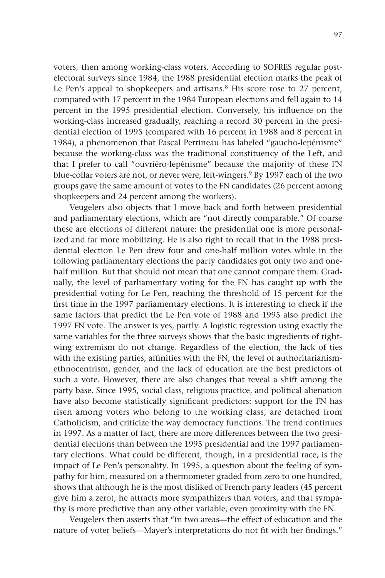voters, then among working-class voters. According to SOFRES regular postelectoral surveys since 1984, the 1988 presidential election marks the peak of Le Pen's appeal to shopkeepers and artisans.<sup>8</sup> His score rose to 27 percent, compared with 17 percent in the 1984 European elections and fell again to 14 percent in the 1995 presidential election. Conversely, his influence on the working-class increased gradually, reaching a record 30 percent in the presidential election of 1995 (compared with 16 percent in 1988 and 8 percent in 1984), a phenomenon that Pascal Perrineau has labeled "gaucho-lepénisme" because the working-class was the traditional constituency of the Left, and that I prefer to call "ouvriéro-lepénisme" because the majority of these FN blue-collar voters are not, or never were, left-wingers.<sup>9</sup> By 1997 each of the two groups gave the same amount of votes to the FN candidates (26 percent among shopkeepers and 24 percent among the workers).

Veugelers also objects that I move back and forth between presidential and parliamentary elections, which are "not directly comparable." Of course these are elections of different nature: the presidential one is more personalized and far more mobilizing. He is also right to recall that in the 1988 presidential election Le Pen drew four and one-half million votes while in the following parliamentary elections the party candidates got only two and onehalf million. But that should not mean that one cannot compare them. Gradually, the level of parliamentary voting for the FN has caught up with the presidential voting for Le Pen, reaching the threshold of 15 percent for the first time in the 1997 parliamentary elections. It is interesting to check if the same factors that predict the Le Pen vote of 1988 and 1995 also predict the 1997 FN vote. The answer is yes, partly. A logistic regression using exactly the same variables for the three surveys shows that the basic ingredients of rightwing extremism do not change. Regardless of the election, the lack of ties with the existing parties, affinities with the FN, the level of authoritarianismethnocentrism, gender, and the lack of education are the best predictors of such a vote. However, there are also changes that reveal a shift among the party base. Since 1995, social class, religious practice, and political alienation have also become statistically significant predictors: support for the FN has risen among voters who belong to the working class, are detached from Catholicism, and criticize the way democracy functions. The trend continues in 1997. As a matter of fact, there are more differences between the two presidential elections than between the 1995 presidential and the 1997 parliamentary elections. What could be different, though, in a presidential race, is the impact of Le Pen's personality. In 1995, a question about the feeling of sympathy for him, measured on a thermometer graded from zero to one hundred, shows that although he is the most disliked of French party leaders (45 percent give him a zero), he attracts more sympathizers than voters, and that sympathy is more predictive than any other variable, even proximity with the FN.

Veugelers then asserts that "in two areas—the effect of education and the nature of voter beliefs—Mayer's interpretations do not fit with her findings."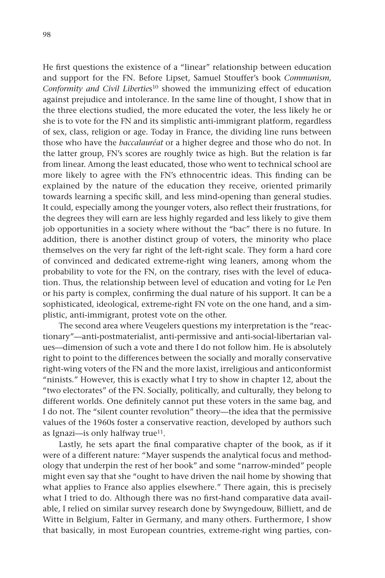He first questions the existence of a "linear" relationship between education and support for the FN. Before Lipset, Samuel Stouffer's book *Communism, Conformity and Civil Liberties*<sup>10</sup> showed the immunizing effect of education against prejudice and intolerance. In the same line of thought, I show that in the three elections studied, the more educated the voter, the less likely he or she is to vote for the FN and its simplistic anti-immigrant platform, regardless of sex, class, religion or age. Today in France, the dividing line runs between those who have the *baccalauréat* or a higher degree and those who do not. In the latter group, FN's scores are roughly twice as high. But the relation is far from linear. Among the least educated, those who went to technical school are more likely to agree with the FN's ethnocentric ideas. This finding can be explained by the nature of the education they receive, oriented primarily towards learning a specific skill, and less mind-opening than general studies. It could, especially among the younger voters, also reflect their frustrations, for the degrees they will earn are less highly regarded and less likely to give them job opportunities in a society where without the "bac" there is no future. In addition, there is another distinct group of voters, the minority who place themselves on the very far right of the left-right scale. They form a hard core of convinced and dedicated extreme-right wing leaners, among whom the probability to vote for the FN, on the contrary, rises with the level of education. Thus, the relationship between level of education and voting for Le Pen or his party is complex, confirming the dual nature of his support. It can be a sophisticated, ideological, extreme-right FN vote on the one hand, and a simplistic, anti-immigrant, protest vote on the other.

The second area where Veugelers questions my interpretation is the "reactionary"—anti-postmaterialist, anti-permissive and anti-social-libertarian values—dimension of such a vote and there I do not follow him. He is absolutely right to point to the differences between the socially and morally conservative right-wing voters of the FN and the more laxist, irreligious and anticonformist "ninists." However, this is exactly what I try to show in chapter 12, about the "two electorates" of the FN. Socially, politically, and culturally, they belong to different worlds. One definitely cannot put these voters in the same bag, and I do not. The "silent counter revolution" theory—the idea that the permissive values of the 1960s foster a conservative reaction, developed by authors such as Ignazi-is only halfway true<sup>11</sup>.

Lastly, he sets apart the final comparative chapter of the book, as if it were of a different nature: "Mayer suspends the analytical focus and methodology that underpin the rest of her book" and some "narrow-minded" people might even say that she "ought to have driven the nail home by showing that what applies to France also applies elsewhere." There again, this is precisely what I tried to do. Although there was no first-hand comparative data available, I relied on similar survey research done by Swyngedouw, Billiett, and de Witte in Belgium, Falter in Germany, and many others. Furthermore, I show that basically, in most European countries, extreme-right wing parties, con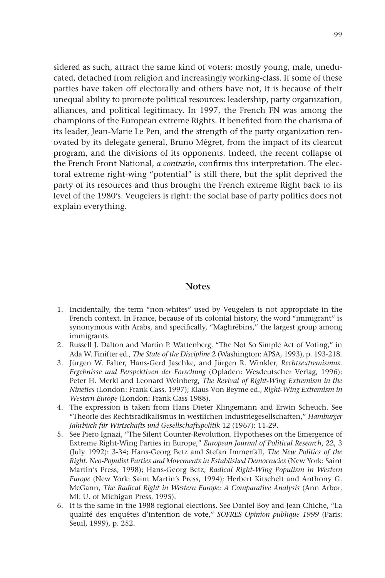sidered as such, attract the same kind of voters: mostly young, male, uneducated, detached from religion and increasingly working-class. If some of these parties have taken off electorally and others have not, it is because of their unequal ability to promote political resources: leadership, party organization, alliances, and political legitimacy. In 1997, the French FN was among the champions of the European extreme Rights. It benefited from the charisma of its leader, Jean-Marie Le Pen, and the strength of the party organization renovated by its delegate general, Bruno Mégret, from the impact of its clearcut program, and the divisions of its opponents. Indeed, the recent collapse of the French Front National, *a contrario*, confirms this interpretation. The electoral extreme right-wing "potential" is still there, but the split deprived the party of its resources and thus brought the French extreme Right back to its level of the 1980's. Veugelers is right: the social base of party politics does not explain everything.

#### **Notes**

- 1. Incidentally, the term "non-whites" used by Veugelers is not appropriate in the French context. In France, because of its colonial history, the word "immigrant" is synonymous with Arabs, and specifically, "Maghrébins," the largest group among immigrants.
- 2. Russell J. Dalton and Martin P. Wattenberg, "The Not So Simple Act of Voting," in Ada W. Finifter ed.*, The State of the Discipline* 2 (Washington: APSA, 1993), p. 193-218.
- 3. Jürgen W. Falter, Hans-Gerd Jaschke, and Jürgen R. Winkler, *Rechtsextremismus. Ergebnisse und Perspektiven der Forschung* (Opladen: Wesdeutscher Verlag, 1996); Peter H. Merkl and Leonard Weinberg, *The Revival of Right-Wing Extremism in the Nineties* (London: Frank Cass, 1997); Klaus Von Beyme ed., *Right-Wing Extremism in Western Europe* (London: Frank Cass 1988).
- 4. The expression is taken from Hans Dieter Klingemann and Erwin Scheuch. See "Theorie des Rechtsradikalismus in westlichen Industriegesellschaften," *Hamburger Jahrbüch für Wirtschafts und Gesellschaftspolitik* 12 (1967): 11-29.
- 5. See Piero Ignazi, "The Silent Counter-Revolution. Hypotheses on the Emergence of Extreme Right-Wing Parties in Europe," *European Journal of Political Research*, 22, 3 (July 1992): 3-34; Hans-Georg Betz and Stefan Immerfall, *The New Politics of the Right. Neo-Populist Parties and Movements in Established Democracies* (New York: Saint Martin's Press, 1998); Hans-Georg Betz, *Radical Right-Wing Populism in Western Europe* (New York: Saint Martin's Press, 1994); Herbert Kitschelt and Anthony G. McGann, *The Radical Right in Western Europe: A Comparative Analysis* (Ann Arbor, MI: U. of Michigan Press, 1995).
- 6. It is the same in the 1988 regional elections. See Daniel Boy and Jean Chiche, "La qualité des enquêtes d'intention de vote," *SOFRES Opinion publique 1999* (Paris: Seuil, 1999), p. 252.